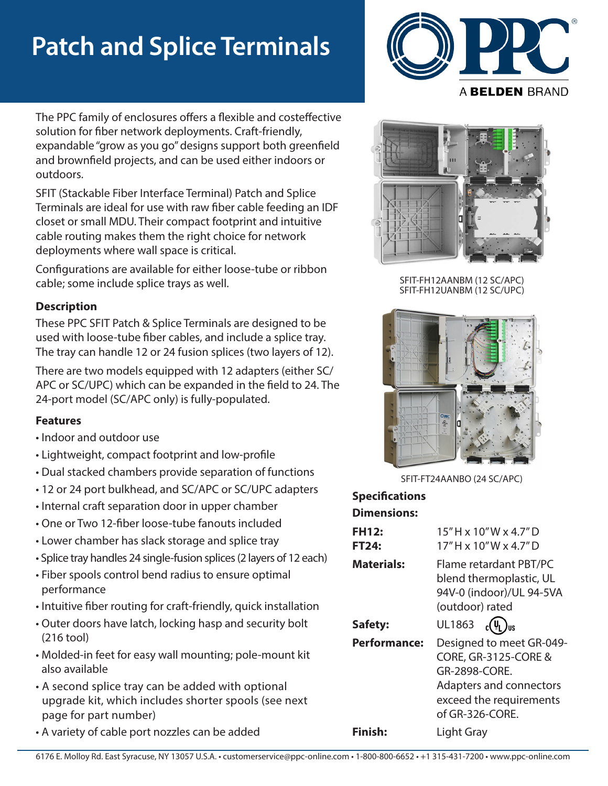# **Patch and Splice Terminals**



The PPC family of enclosures offers a flexible and costeffective solution for fiber network deployments. Craft-friendly, expandable "grow as you go" designs support both greenfield and brownfield projects, and can be used either indoors or outdoors.

SFIT (Stackable Fiber Interface Terminal) Patch and Splice Terminals are ideal for use with raw fiber cable feeding an IDF closet or small MDU. Their compact footprint and intuitive cable routing makes them the right choice for network deployments where wall space is critical.

Configurations are available for either loose-tube or ribbon cable; some include splice trays as well.

## **Description**

These PPC SFIT Patch & Splice Terminals are designed to be used with loose-tube fiber cables, and include a splice tray. The tray can handle 12 or 24 fusion splices (two layers of 12).

There are two models equipped with 12 adapters (either SC/ APC or SC/UPC) which can be expanded in the field to 24. The 24-port model (SC/APC only) is fully-populated.

## **Features**

- Indoor and outdoor use
- Lightweight, compact footprint and low-profile
- Dual stacked chambers provide separation of functions
- 12 or 24 port bulkhead, and SC/APC or SC/UPC adapters
- Internal craft separation door in upper chamber
- One or Two 12-fiber loose-tube fanouts included
- Lower chamber has slack storage and splice tray
- Splice tray handles 24 single-fusion splices (2 layers of 12 each)
- Fiber spools control bend radius to ensure optimal performance
- Intuitive fiber routing for craft-friendly, quick installation
- Outer doors have latch, locking hasp and security bolt (216 tool)
- Molded-in feet for easy wall mounting; pole-mount kit also available
- A second splice tray can be added with optional upgrade kit, which includes shorter spools (see next page for part number)
- A variety of cable port nozzles can be added



SFIT-FH12AANBM (12 SC/APC) SFIT-FH12UANBM (12 SC/UPC)



SFIT-FT24AANBO (24 SC/APC)

#### **Dimensions: Specifications**

| <b>FH12:</b><br>FT24: | $15"$ H x $10"$ W x 4.7" D<br>$17"$ H x $10"$ W x 4.7" D                                                                                              |
|-----------------------|-------------------------------------------------------------------------------------------------------------------------------------------------------|
| <b>Materials:</b>     | Flame retardant PBT/PC<br>blend thermoplastic, UL<br>94V-0 (indoor)/UL 94-5VA<br>(outdoor) rated                                                      |
| Safety:               | UL1863 $c(\psi_L)_{us}$                                                                                                                               |
| <b>Performance:</b>   | Designed to meet GR-049-<br><b>CORE, GR-3125-CORE &amp;</b><br>GR-2898-CORE.<br>Adapters and connectors<br>exceed the requirements<br>of GR-326-CORE. |
| Finish:               | Light Gray                                                                                                                                            |